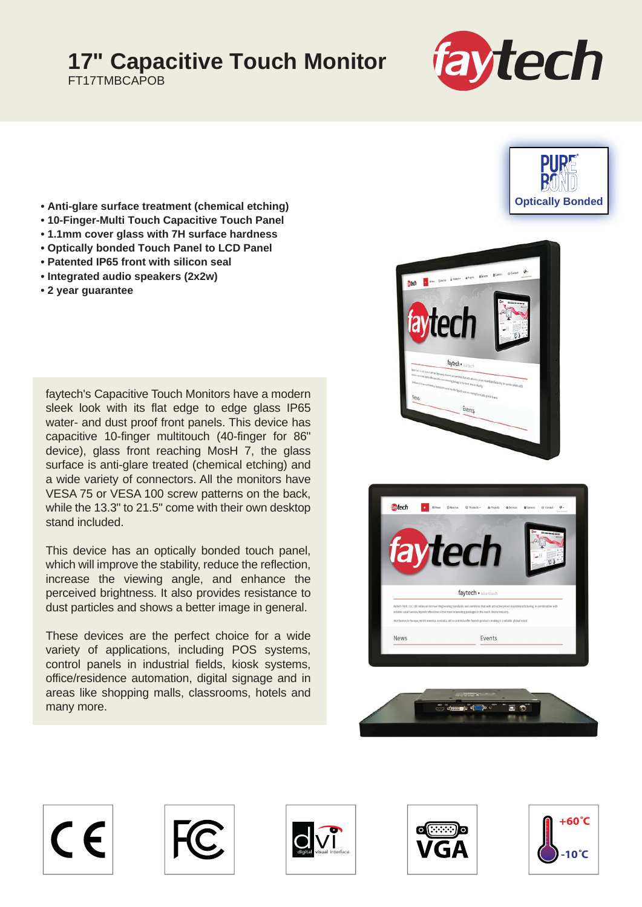## **17" Capacitive Touch Monitor**

FT17TMBCAPOB



- **Anti-glare surface treatment (chemical etching)**
- **10-Finger-Multi Touch Capacitive Touch Panel**
- **1.1mm cover glass with 7H surface hardness**
- **Optically bonded Touch Panel to LCD Panel**
- **Patented IP65 front with silicon seal**
- **Integrated audio speakers (2x2w)**
- **2 year guarantee**

faytech's Capacitive Touch Monitors have a modern sleek look with its flat edge to edge glass IP65 water- and dust proof front panels. This device has capacitive 10-finger multitouch (40-finger for 86" device), glass front reaching MosH 7, the glass surface is anti-glare treated (chemical etching) and a wide variety of connectors. All the monitors have VESA 75 or VESA 100 screw patterns on the back, while the 13.3" to 21.5" come with their own desktop stand included.

This device has an optically bonded touch panel, which will improve the stability, reduce the reflection, increase the viewing angle, and enhance the perceived brightness. It also provides resistance to dust particles and shows a better image in general.

These devices are the perfect choice for a wide variety of applications, including POS systems, control panels in industrial fields, kiosk systems, office/residence automation, digital signage and in areas like shopping malls, classrooms, hotels and many more.